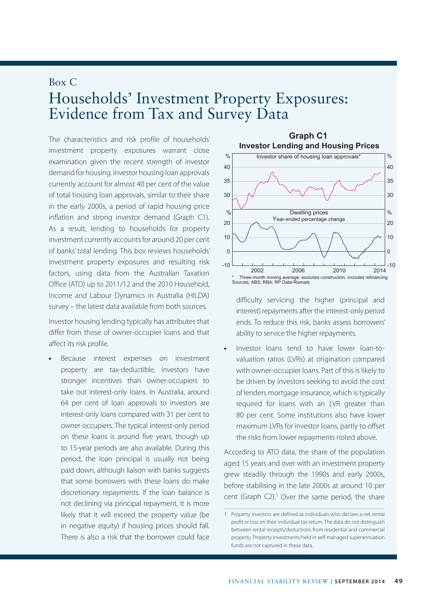## Box C Households' Investment Property Exposures: Evidence from Tax and Survey Data

The characteristics and risk profile of households' investment property exposures warrant close examination given the recent strength of investor demand for housing. Investor housing loan approvals currently account for almost 40 per cent of the value of total housing loan approvals, similar to their share in the early 2000s, a period of rapid housing price inflation and strong investor demand (Graph C1). As a result, lending to households for property investment currently accounts for around 20 per cent of banks' total lending. This box reviews households' investment property exposures and resulting risk factors, using data from the Australian Taxation Office (ATO) up to 2011/12 and the 2010 Household, Income and Labour Dynamics in Australia (HILDA) survey – the latest data available from both sources.

Investor housing lending typically has attributes that differ from those of owner-occupier loans and that affect its risk profile.

**•** Because interest expenses on investment property are tax-deductible, investors have stronger incentives than owner-occupiers to take out interest-only loans. In Australia, around 64 per cent of loan approvals to investors are interest-only loans compared with 31 per cent to owner-occupiers. The typical interest-only period on these loans is around five years, though up to 15-year periods are also available. During this period, the loan principal is usually not being paid down, although liaison with banks suggests that some borrowers with these loans do make discretionary repayments. If the loan balance is not declining via principal repayment, it is more likely that it will exceed the property value (be in negative equity) if housing prices should fall. There is also a risk that the borrower could face



difficulty servicing the higher (principal and interest) repayments after the interest-only period ends. To reduce this risk, banks assess borrowers' ability to service the higher repayments.

**•** Investor loans tend to have lower loan-tovaluation ratios (LVRs) at origination compared with owner-occupier loans. Part of this is likely to be driven by investors seeking to avoid the cost of lenders mortgage insurance, which is typically required for loans with an LVR greater than 80 per cent. Some institutions also have lower maximum LVRs for investor loans, partly to offset the risks from lower repayments noted above.

According to ATO data, the share of the population aged 15 years and over with an investment property grew steadily through the 1990s and early 2000s, before stabilising in the late 2000s at around 10 per cent (Graph C2).<sup>1</sup> Over the same period, the share

<sup>1</sup> Property investors are defined as individuals who declare a net rental profit or loss on their individual tax return. The data do not distinguish between rental receipts/deductions from residential and commercial property. Property investments held in self-managed superannuation funds are not captured in these data.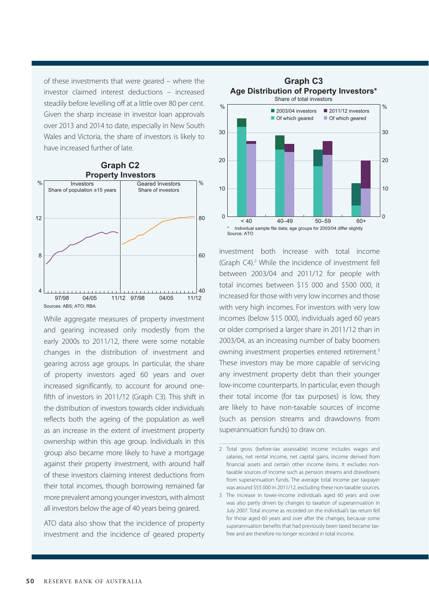of these investments that were geared – where the investor claimed interest deductions – increased steadily before levelling off at a little over 80 per cent. Given the sharp increase in investor loan approvals over 2013 and 2014 to date, especially in New South Wales and Victoria, the share of investors is likely to have increased further of late.



While aggregate measures of property investment and gearing increased only modestly from the early 2000s to 2011/12, there were some notable changes in the distribution of investment and gearing across age groups. In particular, the share of property investors aged 60 years and over increased significantly, to account for around onefifth of investors in 2011/12 (Graph C3). This shift in the distribution of investors towards older individuals reflects both the ageing of the population as well as an increase in the extent of investment property ownership within this age group. Individuals in this group also became more likely to have a mortgage against their property investment, with around half of these investors claiming interest deductions from their total incomes, though borrowing remained far more prevalent among younger investors, with almost all investors below the age of 40 years being geared.

ATO data also show that the incidence of property investment and the incidence of geared property



investment both increase with total income (Graph C4).<sup>2</sup> While the incidence of investment fell between 2003/04 and 2011/12 for people with total incomes between \$15 000 and \$500 000, it increased for those with very low incomes and those with very high incomes. For investors with very low incomes (below \$15 000), individuals aged 60 years or older comprised a larger share in 2011/12 than in 2003/04, as an increasing number of baby boomers owning investment properties entered retirement.3 These investors may be more capable of servicing any investment property debt than their younger low-income counterparts. In particular, even though their total income (for tax purposes) is low, they are likely to have non-taxable sources of income (such as pension streams and drawdowns from superannuation funds) to draw on.

<sup>2</sup> Total gross (before-tax assessable) income includes wages and salaries, net rental income, net capital gains, income derived from financial assets and certain other income items. It excludes nontaxable sources of income such as pension streams and drawdowns from superannuation funds. The average total income per taxpayer was around \$55 000 in 2011/12, excluding these non-taxable sources.

<sup>3</sup> The increase in lower-income individuals aged 60 years and over was also partly driven by changes to taxation of superannuation in July 2007. Total income as recorded on the individual's tax return fell for those aged 60 years and over after the changes, because some superannuation benefits that had previously been taxed became taxfree and are therefore no longer recorded in total income.